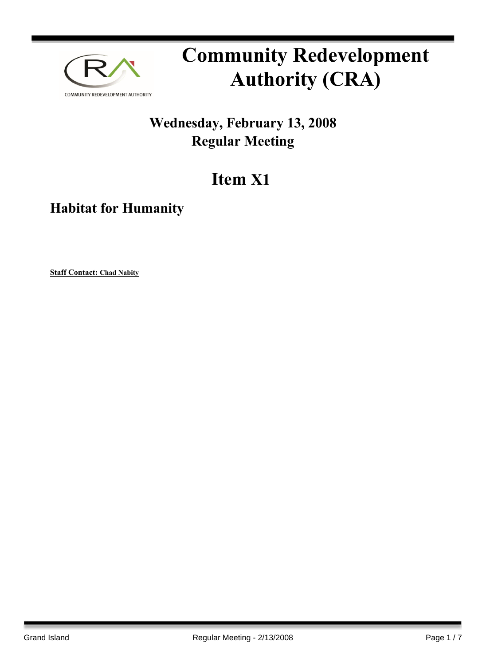

# **Community Redevelopment Authority (CRA)**

## **Wednesday, February 13, 2008 Regular Meeting**

## **Item X1**

### **Habitat for Humanity**

**Staff Contact: Chad Nabity**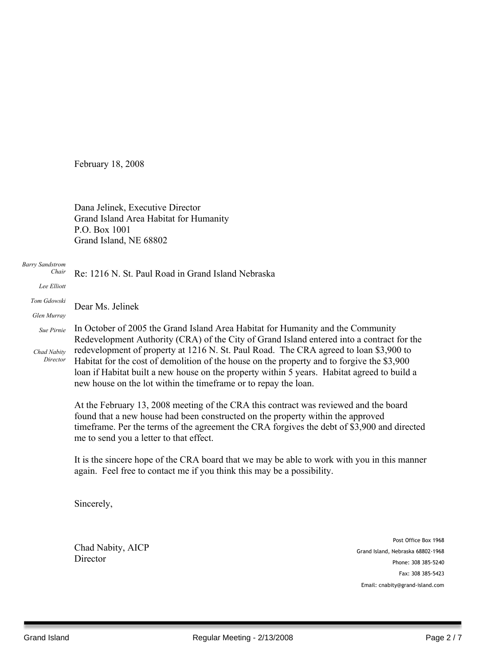February 18, 2008

Dana Jelinek, Executive Director Grand Island Area Habitat for Humanity P.O. Box 1001 Grand Island, NE 68802

#### *Barry Sandstrom Chair*

Re: 1216 N. St. Paul Road in Grand Island Nebraska

*Lee Elliott Tom Gdowski*

Dear Ms. Jelinek

*Glen Murray Sue Pirnie*

*Chad Nabity*

*Director*

In October of 2005 the Grand Island Area Habitat for Humanity and the Community Redevelopment Authority (CRA) of the City of Grand Island entered into a contract for the redevelopment of property at 1216 N. St. Paul Road. The CRA agreed to loan \$3,900 to Habitat for the cost of demolition of the house on the property and to forgive the \$3,900 loan if Habitat built a new house on the property within 5 years. Habitat agreed to build a new house on the lot within the timeframe or to repay the loan.

At the February 13, 2008 meeting of the CRA this contract was reviewed and the board found that a new house had been constructed on the property within the approved timeframe. Per the terms of the agreement the CRA forgives the debt of \$3,900 and directed me to send you a letter to that effect.

It is the sincere hope of the CRA board that we may be able to work with you in this manner again. Feel free to contact me if you think this may be a possibility.

Sincerely,

Chad Nabity, AICP **Director** 

Post Office Box 1968 Grand Island, Nebraska 68802-1968 Phone: 308 385-5240 Fax: 308 385-5423 Email: cnabity@grand-island.com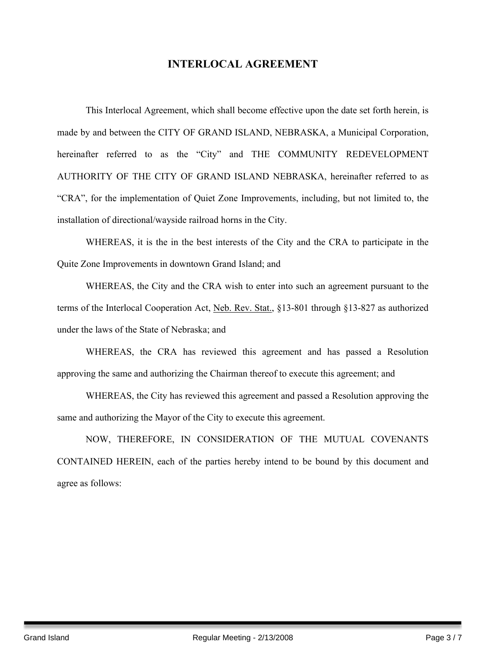#### **INTERLOCAL AGREEMENT**

This Interlocal Agreement, which shall become effective upon the date set forth herein, is made by and between the CITY OF GRAND ISLAND, NEBRASKA, a Municipal Corporation, hereinafter referred to as the "City" and THE COMMUNITY REDEVELOPMENT AUTHORITY OF THE CITY OF GRAND ISLAND NEBRASKA, hereinafter referred to as "CRA", for the implementation of Quiet Zone Improvements, including, but not limited to, the installation of directional/wayside railroad horns in the City.

WHEREAS, it is the in the best interests of the City and the CRA to participate in the Quite Zone Improvements in downtown Grand Island; and

WHEREAS, the City and the CRA wish to enter into such an agreement pursuant to the terms of the Interlocal Cooperation Act, Neb. Rev. Stat., §13-801 through §13-827 as authorized under the laws of the State of Nebraska; and

WHEREAS, the CRA has reviewed this agreement and has passed a Resolution approving the same and authorizing the Chairman thereof to execute this agreement; and

WHEREAS, the City has reviewed this agreement and passed a Resolution approving the same and authorizing the Mayor of the City to execute this agreement.

NOW, THEREFORE, IN CONSIDERATION OF THE MUTUAL COVENANTS CONTAINED HEREIN, each of the parties hereby intend to be bound by this document and agree as follows: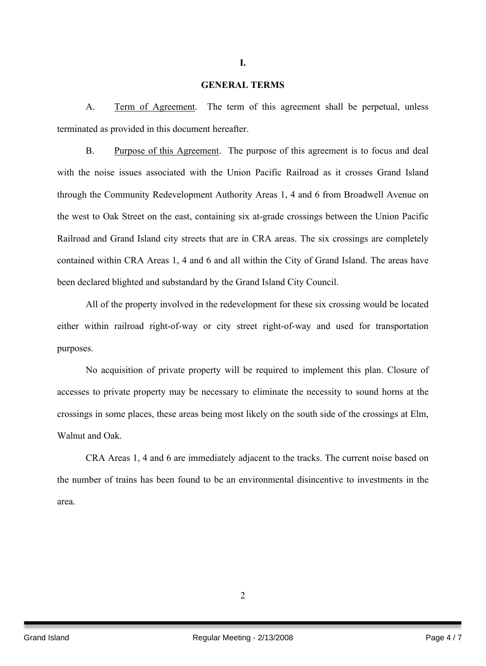#### **GENERAL TERMS**

**I.**

A. Term of Agreement. The term of this agreement shall be perpetual, unless terminated as provided in this document hereafter.

B. Purpose of this Agreement. The purpose of this agreement is to focus and deal with the noise issues associated with the Union Pacific Railroad as it crosses Grand Island through the Community Redevelopment Authority Areas 1, 4 and 6 from Broadwell Avenue on the west to Oak Street on the east, containing six at-grade crossings between the Union Pacific Railroad and Grand Island city streets that are in CRA areas. The six crossings are completely contained within CRA Areas 1, 4 and 6 and all within the City of Grand Island. The areas have been declared blighted and substandard by the Grand Island City Council.

All of the property involved in the redevelopment for these six crossing would be located either within railroad right-of-way or city street right-of-way and used for transportation purposes.

No acquisition of private property will be required to implement this plan. Closure of accesses to private property may be necessary to eliminate the necessity to sound horns at the crossings in some places, these areas being most likely on the south side of the crossings at Elm, Walnut and Oak

CRA Areas 1, 4 and 6 are immediately adjacent to the tracks. The current noise based on the number of trains has been found to be an environmental disincentive to investments in the area.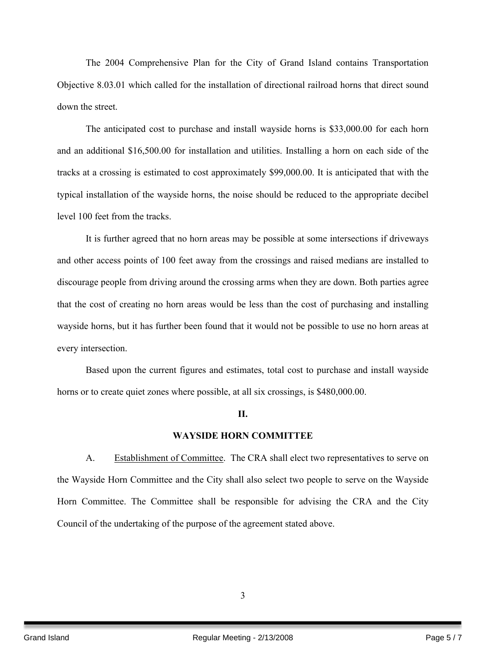The 2004 Comprehensive Plan for the City of Grand Island contains Transportation Objective 8.03.01 which called for the installation of directional railroad horns that direct sound down the street.

The anticipated cost to purchase and install wayside horns is \$33,000.00 for each horn and an additional \$16,500.00 for installation and utilities. Installing a horn on each side of the tracks at a crossing is estimated to cost approximately \$99,000.00. It is anticipated that with the typical installation of the wayside horns, the noise should be reduced to the appropriate decibel level 100 feet from the tracks.

It is further agreed that no horn areas may be possible at some intersections if driveways and other access points of 100 feet away from the crossings and raised medians are installed to discourage people from driving around the crossing arms when they are down. Both parties agree that the cost of creating no horn areas would be less than the cost of purchasing and installing wayside horns, but it has further been found that it would not be possible to use no horn areas at every intersection.

Based upon the current figures and estimates, total cost to purchase and install wayside horns or to create quiet zones where possible, at all six crossings, is \$480,000.00.

#### **II.**

#### **WAYSIDE HORN COMMITTEE**

A. Establishment of Committee. The CRA shall elect two representatives to serve on the Wayside Horn Committee and the City shall also select two people to serve on the Wayside Horn Committee. The Committee shall be responsible for advising the CRA and the City Council of the undertaking of the purpose of the agreement stated above.

3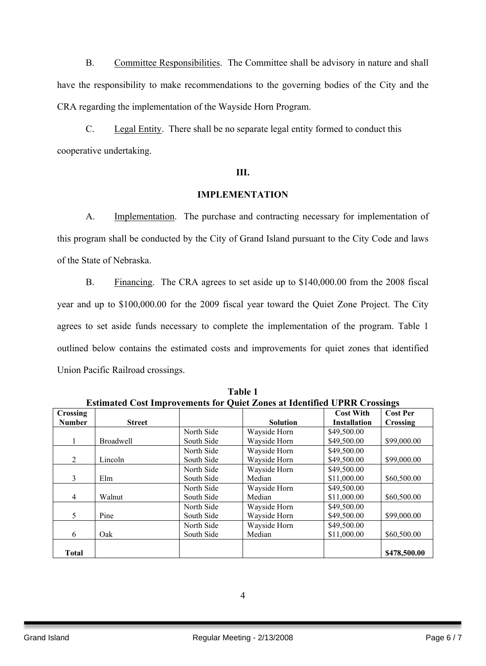B. Committee Responsibilities. The Committee shall be advisory in nature and shall have the responsibility to make recommendations to the governing bodies of the City and the CRA regarding the implementation of the Wayside Horn Program.

C. Legal Entity. There shall be no separate legal entity formed to conduct this cooperative undertaking.

#### **III.**

#### **IMPLEMENTATION**

A. Implementation. The purchase and contracting necessary for implementation of this program shall be conducted by the City of Grand Island pursuant to the City Code and laws of the State of Nebraska.

B. Financing. The CRA agrees to set aside up to \$140,000.00 from the 2008 fiscal year and up to \$100,000.00 for the 2009 fiscal year toward the Quiet Zone Project. The City agrees to set aside funds necessary to complete the implementation of the program. Table 1 outlined below contains the estimated costs and improvements for quiet zones that identified Union Pacific Railroad crossings.

| <b>Estimated Cost Improvements for Quiet Zones at Identified UPRR Crossings</b> |                  |            |                 |                     |                 |  |
|---------------------------------------------------------------------------------|------------------|------------|-----------------|---------------------|-----------------|--|
| <b>Crossing</b>                                                                 |                  |            |                 | <b>Cost With</b>    | <b>Cost Per</b> |  |
| <b>Number</b>                                                                   | <b>Street</b>    |            | <b>Solution</b> | <b>Installation</b> | Crossing        |  |
|                                                                                 |                  | North Side | Wayside Horn    | \$49,500.00         |                 |  |
|                                                                                 | <b>Broadwell</b> | South Side | Wayside Horn    | \$49,500.00         | \$99,000.00     |  |
|                                                                                 |                  | North Side | Wayside Horn    | \$49,500.00         |                 |  |
| 2                                                                               | Lincoln          | South Side | Wayside Horn    | \$49,500.00         | \$99,000.00     |  |
|                                                                                 |                  | North Side | Wayside Horn    | \$49,500.00         |                 |  |
| 3                                                                               | Elm              | South Side | Median          | \$11,000.00         | \$60,500.00     |  |
|                                                                                 |                  | North Side | Wayside Horn    | \$49,500.00         |                 |  |
| $\overline{4}$                                                                  | Walnut           | South Side | Median          | \$11,000.00         | \$60,500.00     |  |
|                                                                                 |                  | North Side | Wayside Horn    | \$49,500.00         |                 |  |
| 5                                                                               | Pine             | South Side | Wayside Horn    | \$49,500.00         | \$99,000.00     |  |
|                                                                                 |                  | North Side | Wayside Horn    | \$49,500.00         |                 |  |
| 6                                                                               | Oak              | South Side | Median          | \$11,000.00         | \$60,500.00     |  |
|                                                                                 |                  |            |                 |                     |                 |  |
| <b>Total</b>                                                                    |                  |            |                 |                     | \$478,500.00    |  |

**Table 1**